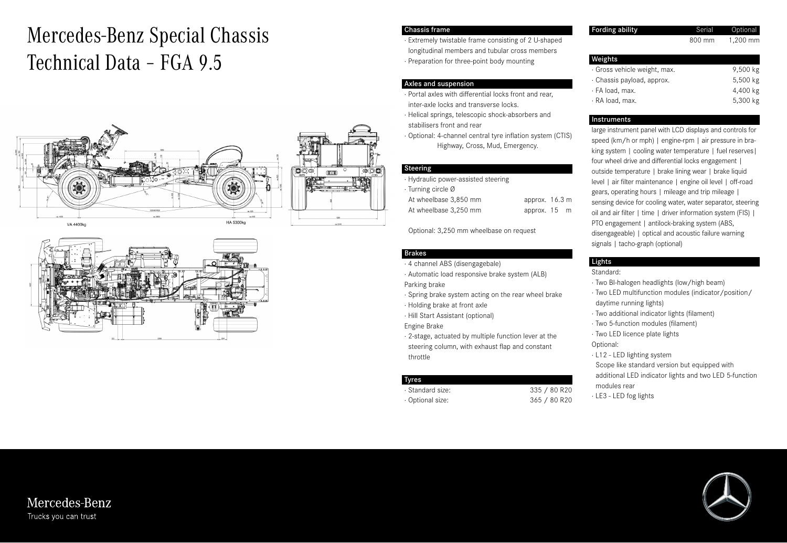# Mercedes-Benz Special Chassis Technical Data – FGA 9.5





#### Chassis frame

· Extremely twistable frame consisting of 2 U-shaped longitudinal members and tubular cross members · Preparation for three-point body mounting

#### Axles and suspension

· Portal axles with differential locks front and rear, inter-axle locks and transverse locks.

- · Helical springs, telescopic shock-absorbers and stabilisers front and rear
- · Optional: 4-channel central tyre inflation system (CTIS) Highway, Cross, Mud, Emergency.

#### Steering

| · Hydraulic power-assisted steering |                          |  |
|-------------------------------------|--------------------------|--|
| · Turning circle Ø                  |                          |  |
| At wheelbase 3.850 mm               | approx. $16.3 \text{ m}$ |  |
| At wheelbase 3.250 mm               | approx. 15 m             |  |

Optional: 3,250 mm wheelbase on request

## Brakes

- · 4 channel ABS (disengagebale)
- · Automatic load responsive brake system (ALB)
- Parking brake
- · Spring brake system acting on the rear wheel brake
- · Holding brake at front axle
- · Hill Start Assistant (optional)
- Engine Brake
- · 2-stage, actuated by multiple function lever at the steering column, with exhaust flap and constant throttle

## Tyres

· Standard size: 335 / 80 R20 · Optional size: 365 / 80 R20 Fording ability **Serial** Optional

800 mm 1,200 mm

| Weights                      |          |
|------------------------------|----------|
| · Gross vehicle weight, max. | 9,500 kg |
| · Chassis payload, approx.   | 5,500 kg |
| · FA load, max.              | 4,400 kg |
| · RA load, max.              | 5,300 kg |

## Instruments

large instrument panel with LCD displays and controls for speed (km/h or mph) | engine-rpm | air pressure in braking system | cooling water temperature | fuel reserves | four wheel drive and differential locks engagement | outside temperature | brake lining wear | brake liquid level | air filter maintenance | engine oil level | off-road gears, operating hours | mileage and trip mileage | sensing device for cooling water, water separator, steering oil and air filter | time | driver information system (FIS) | PTO engagement | antilock-braking system (ABS, disengageable) | optical and acoustic failure warning signals | tacho-graph (optional)

## Lights

#### Standard:

- · Two BI-halogen headlights (low/high beam)
- · Two LED multifunction modules (indicator/position/ daytime running lights)
- · Two additional indicator lights (filament)
- · Two 5-function modules (filament)
- · Two LED licence plate lights

Optional:

- · L12 LED lighting system
- Scope like standard version but equipped with additional LED indicator lights and two LED 5-function
- modules rear
- · LE3 LED fog lights



## Mercedes-Benz Trucks you can trust